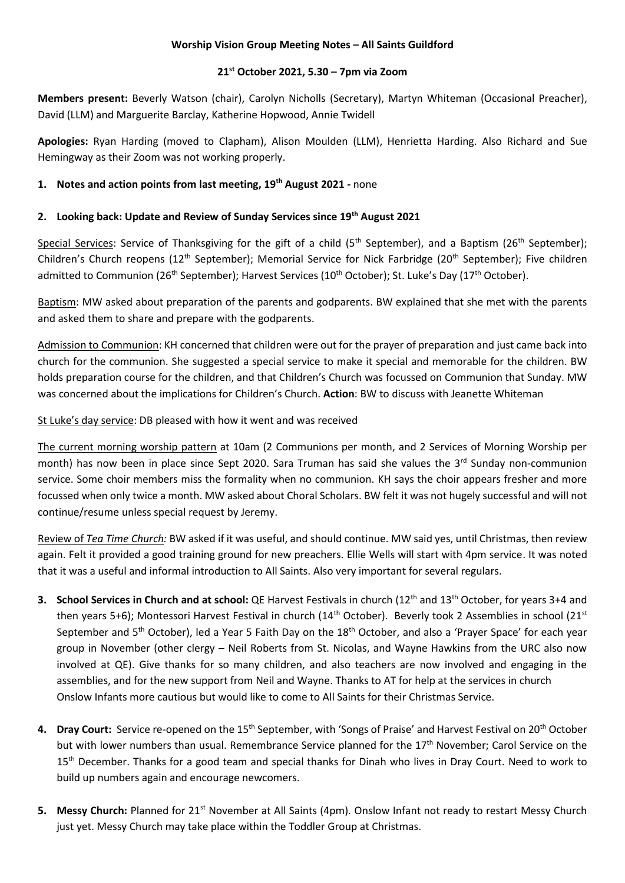#### **Worship Vision Group Meeting Notes – All Saints Guildford**

#### **21st October 2021, 5.30 – 7pm via Zoom**

**Members present:** Beverly Watson (chair), Carolyn Nicholls (Secretary), Martyn Whiteman (Occasional Preacher), David (LLM) and Marguerite Barclay, Katherine Hopwood, Annie Twidell

**Apologies:** Ryan Harding (moved to Clapham), Alison Moulden (LLM), Henrietta Harding. Also Richard and Sue Hemingway as their Zoom was not working properly.

## **1. Notes and action points from last meeting, 19th August 2021 -** none

### **2. Looking back: Update and Review of Sunday Services since 19th August 2021**

Special Services: Service of Thanksgiving for the gift of a child (5<sup>th</sup> September), and a Baptism (26<sup>th</sup> September); Children's Church reopens (12<sup>th</sup> September); Memorial Service for Nick Farbridge (20<sup>th</sup> September); Five children admitted to Communion (26<sup>th</sup> September); Harvest Services (10<sup>th</sup> October); St. Luke's Day (17<sup>th</sup> October).

Baptism: MW asked about preparation of the parents and godparents. BW explained that she met with the parents and asked them to share and prepare with the godparents.

Admission to Communion: KH concerned that children were out for the prayer of preparation and just came back into church for the communion. She suggested a special service to make it special and memorable for the children. BW holds preparation course for the children, and that Children's Church was focussed on Communion that Sunday. MW was concerned about the implications for Children's Church. **Action**: BW to discuss with Jeanette Whiteman

St Luke's day service: DB pleased with how it went and was received

The current morning worship pattern at 10am (2 Communions per month, and 2 Services of Morning Worship per month) has now been in place since Sept 2020. Sara Truman has said she values the 3<sup>rd</sup> Sunday non-communion service. Some choir members miss the formality when no communion. KH says the choir appears fresher and more focussed when only twice a month. MW asked about Choral Scholars. BW felt it was not hugely successful and will not continue/resume unless special request by Jeremy.

Review of *Tea Time Church:* BW asked if it was useful, and should continue. MW said yes, until Christmas, then review again. Felt it provided a good training ground for new preachers. Ellie Wells will start with 4pm service. It was noted that it was a useful and informal introduction to All Saints. Also very important for several regulars.

- **3. School Services in Church and at school:** QE Harvest Festivals in church (12th and 13th October, for years 3+4 and then years 5+6); Montessori Harvest Festival in church (14<sup>th</sup> October). Beverly took 2 Assemblies in school (21<sup>st</sup> September and 5<sup>th</sup> October), led a Year 5 Faith Day on the 18<sup>th</sup> October, and also a 'Prayer Space' for each year group in November (other clergy – Neil Roberts from St. Nicolas, and Wayne Hawkins from the URC also now involved at QE). Give thanks for so many children, and also teachers are now involved and engaging in the assemblies, and for the new support from Neil and Wayne. Thanks to AT for help at the services in church Onslow Infants more cautious but would like to come to All Saints for their Christmas Service.
- **4. Dray Court:** Service re-opened on the 15th September, with 'Songs of Praise' and Harvest Festival on 20th October but with lower numbers than usual. Remembrance Service planned for the 17<sup>th</sup> November; Carol Service on the 15<sup>th</sup> December. Thanks for a good team and special thanks for Dinah who lives in Dray Court. Need to work to build up numbers again and encourage newcomers.
- **5.** Messy Church: Planned for 21<sup>st</sup> November at All Saints (4pm). Onslow Infant not ready to restart Messy Church just yet. Messy Church may take place within the Toddler Group at Christmas.